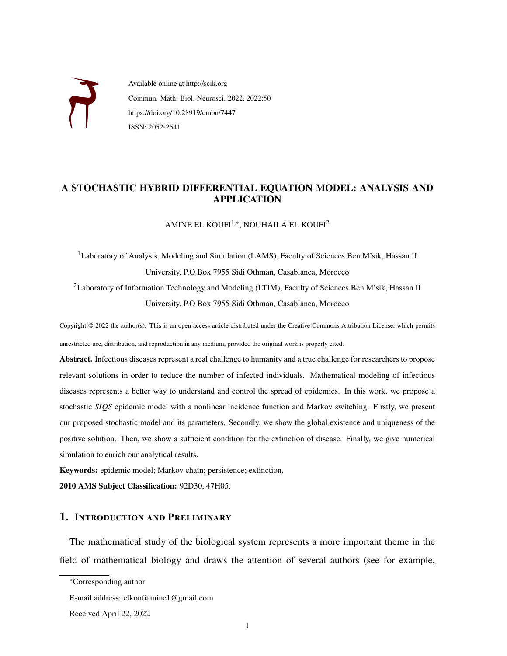

Available online at http://scik.org Commun. Math. Biol. Neurosci. 2022, 2022:50 https://doi.org/10.28919/cmbn/7447 ISSN: 2052-2541

# A STOCHASTIC HYBRID DIFFERENTIAL EQUATION MODEL: ANALYSIS AND APPLICATION

AMINE EL KOUFI $^{1,*}$ , NOUHAILA EL KOUFI $^{2}$ 

<sup>1</sup>Laboratory of Analysis, Modeling and Simulation (LAMS), Faculty of Sciences Ben M'sik, Hassan II University, P.O Box 7955 Sidi Othman, Casablanca, Morocco <sup>2</sup>Laboratory of Information Technology and Modeling (LTIM), Faculty of Sciences Ben M'sik, Hassan II

University, P.O Box 7955 Sidi Othman, Casablanca, Morocco

Copyright © 2022 the author(s). This is an open access article distributed under the Creative Commons Attribution License, which permits unrestricted use, distribution, and reproduction in any medium, provided the original work is properly cited.

Abstract. Infectious diseases represent a real challenge to humanity and a true challenge for researchers to propose relevant solutions in order to reduce the number of infected individuals. Mathematical modeling of infectious diseases represents a better way to understand and control the spread of epidemics. In this work, we propose a stochastic *SIQS* epidemic model with a nonlinear incidence function and Markov switching. Firstly, we present our proposed stochastic model and its parameters. Secondly, we show the global existence and uniqueness of the positive solution. Then, we show a sufficient condition for the extinction of disease. Finally, we give numerical simulation to enrich our analytical results.

Keywords: epidemic model; Markov chain; persistence; extinction.

2010 AMS Subject Classification: 92D30, 47H05.

### 1. INTRODUCTION AND PRELIMINARY

The mathematical study of the biological system represents a more important theme in the field of mathematical biology and draws the attention of several authors (see for example,

<sup>∗</sup>Corresponding author

E-mail address: elkoufiamine1@gmail.com

Received April 22, 2022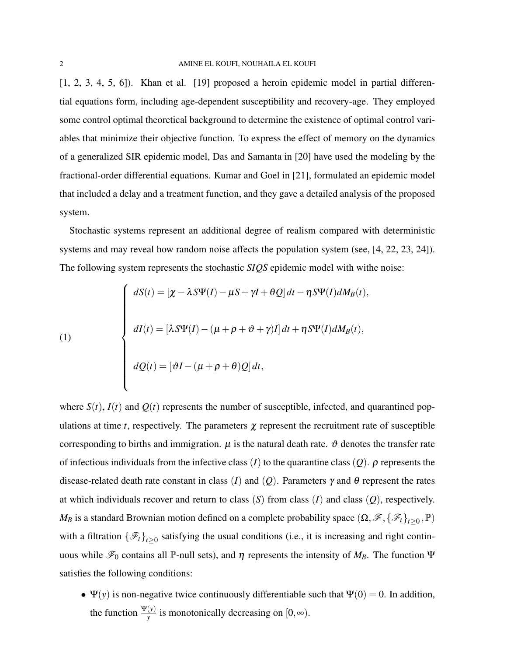[\[1,](#page-13-0) [2,](#page-13-1) [3,](#page-13-2) [4,](#page-13-3) [5,](#page-13-4) [6\]](#page-13-5)). Khan et al. [\[19\]](#page-14-0) proposed a heroin epidemic model in partial differential equations form, including age-dependent susceptibility and recovery-age. They employed some control optimal theoretical background to determine the existence of optimal control variables that minimize their objective function. To express the effect of memory on the dynamics of a generalized SIR epidemic model, Das and Samanta in [\[20\]](#page-14-1) have used the modeling by the fractional-order differential equations. Kumar and Goel in [\[21\]](#page-14-2), formulated an epidemic model that included a delay and a treatment function, and they gave a detailed analysis of the proposed system.

Stochastic systems represent an additional degree of realism compared with deterministic systems and may reveal how random noise affects the population system (see, [\[4,](#page-13-3) [22,](#page-14-3) [23,](#page-14-4) [24\]](#page-14-5)). The following system represents the stochastic *SIQS* epidemic model with withe noise:

<span id="page-1-0"></span>(1)  

$$
dI(t) = [\chi - \lambda S\Psi(I) - \mu S + \gamma I + \theta Q] dt - \eta S\Psi(I) dM_B(t),
$$

$$
dI(t) = [\lambda S\Psi(I) - (\mu + \rho + \vartheta + \gamma)I] dt + \eta S\Psi(I) dM_B(t),
$$

$$
dQ(t) = [\vartheta I - (\mu + \rho + \theta)Q] dt,
$$

where  $S(t)$ ,  $I(t)$  and  $Q(t)$  represents the number of susceptible, infected, and quarantined populations at time  $t$ , respectively. The parameters  $\chi$  represent the recruitment rate of susceptible corresponding to births and immigration.  $\mu$  is the natural death rate.  $\vartheta$  denotes the transfer rate of infectious individuals from the infective class (*I*) to the quarantine class (*Q*).  $\rho$  represents the disease-related death rate constant in class (*I*) and (*Q*). Parameters  $\gamma$  and  $\theta$  represent the rates at which individuals recover and return to class (*S*) from class (*I*) and class (*Q*), respectively. *M<sub>B</sub>* is a standard Brownian motion defined on a complete probability space  $(\Omega, \mathscr{F}, {\{\mathscr{F}_t\}}_{t\geq 0}, \mathbb{P})$ with a filtration  $\{\mathcal{F}_t\}_{t\geq 0}$  satisfying the usual conditions (i.e., it is increasing and right continuous while  $\mathcal{F}_0$  contains all P-null sets), and  $η$  represents the intensity of  $M_B$ . The function Ψ satisfies the following conditions:

•  $\Psi(y)$  is non-negative twice continuously differentiable such that  $\Psi(0) = 0$ . In addition, the function  $\frac{\Psi(y)}{y}$  is monotonically decreasing on  $[0, \infty)$ .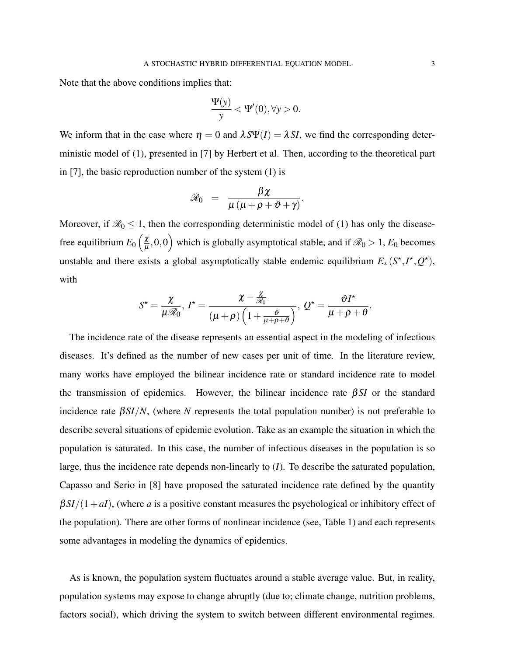Note that the above conditions implies that:

$$
\frac{\Psi(y)}{y} < \Psi'(0), \forall y > 0.
$$

We inform that in the case where  $\eta = 0$  and  $\lambda S \Psi(I) = \lambda SI$ , we find the corresponding deterministic model of [\(1\)](#page-1-0), presented in [\[7\]](#page-13-6) by Herbert et al. Then, according to the theoretical part in [\[7\]](#page-13-6), the basic reproduction number of the system [\(1\)](#page-1-0) is

$$
\mathscr{R}_0 = \frac{\beta \chi}{\mu \left( \mu + \rho + \vartheta + \gamma \right)}.
$$

Moreover, if  $\mathcal{R}_0 \leq 1$ , then the corresponding deterministic model of [\(1\)](#page-1-0) has only the diseasefree equilibrium  $E_0 \left( \frac{\chi}{\mu} \right)$  $\left(\frac{\chi}{\mu},0,0\right)$  which is globally asymptotical stable, and if  $\mathscr{R}_0>1$ ,  $E_0$  becomes unstable and there exists a global asymptotically stable endemic equilibrium  $E_*(S^*, I^*, Q^*)$ , with

$$
S^{\star} = \frac{\chi}{\mu \mathscr{R}_0}, \, I^{\star} = \frac{\chi - \frac{\chi}{\mathscr{R}_0}}{(\mu + \rho) \left(1 + \frac{\vartheta}{\mu + \rho + \theta}\right)}, \, Q^{\star} = \frac{\vartheta I^{\star}}{\mu + \rho + \theta}.
$$

The incidence rate of the disease represents an essential aspect in the modeling of infectious diseases. It's defined as the number of new cases per unit of time. In the literature review, many works have employed the bilinear incidence rate or standard incidence rate to model the transmission of epidemics. However, the bilinear incidence rate β*SI* or the standard incidence rate  $\beta SI/N$ , (where *N* represents the total population number) is not preferable to describe several situations of epidemic evolution. Take as an example the situation in which the population is saturated. In this case, the number of infectious diseases in the population is so large, thus the incidence rate depends non-linearly to (*I*). To describe the saturated population, Capasso and Serio in [\[8\]](#page-13-7) have proposed the saturated incidence rate defined by the quantity  $\beta SI/(1+aI)$ , (where *a* is a positive constant measures the psychological or inhibitory effect of the population). There are other forms of nonlinear incidence (see, Table 1) and each represents some advantages in modeling the dynamics of epidemics.

As is known, the population system fluctuates around a stable average value. But, in reality, population systems may expose to change abruptly (due to; climate change, nutrition problems, factors social), which driving the system to switch between different environmental regimes.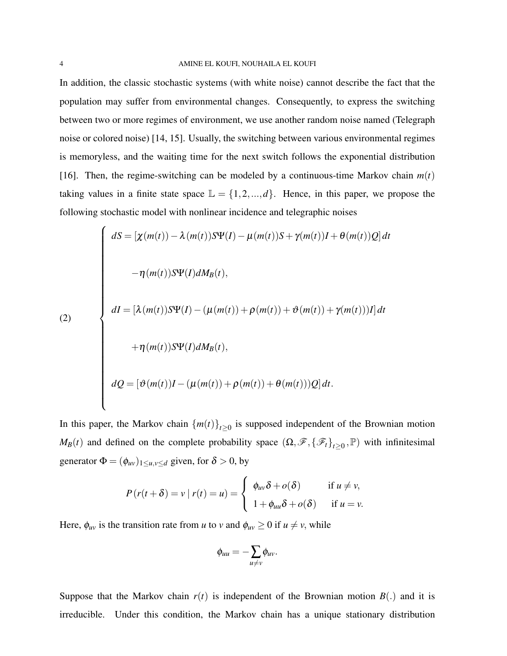In addition, the classic stochastic systems (with white noise) cannot describe the fact that the population may suffer from environmental changes. Consequently, to express the switching between two or more regimes of environment, we use another random noise named (Telegraph noise or colored noise) [\[14,](#page-14-6) [15\]](#page-14-7). Usually, the switching between various environmental regimes is memoryless, and the waiting time for the next switch follows the exponential distribution [\[16\]](#page-14-8). Then, the regime-switching can be modeled by a continuous-time Markov chain  $m(t)$ taking values in a finite state space  $\mathbb{L} = \{1, 2, ..., d\}$ . Hence, in this paper, we propose the following stochastic model with nonlinear incidence and telegraphic noises

<span id="page-3-0"></span>(2)  

$$
dS = [\chi(m(t)) - \lambda(m(t))S\Psi(I) - \mu(m(t))S + \gamma(m(t))I + \theta(m(t))Q]dt
$$

$$
-\eta(m(t))S\Psi(I)dM_B(t),
$$

$$
dI = [\lambda(m(t))S\Psi(I) - (\mu(m(t)) + \rho(m(t)) + \vartheta(m(t)) + \gamma(m(t))I]dt
$$

$$
+\eta(m(t))S\Psi(I)dM_B(t),
$$

$$
dQ = [\vartheta(m(t))I - (\mu(m(t)) + \rho(m(t)) + \theta(m(t))Q]dt.
$$

In this paper, the Markov chain  ${m(t)}_{t\geq0}$  is supposed independent of the Brownian motion *M<sub>B</sub>*(*t*) and defined on the complete probability space  $(\Omega, \mathcal{F}, {\{\mathcal{F}_t\}}_{t\geq 0}, \mathbb{P})$  with infinitesimal generator  $\Phi = (\phi_{uv})_{1 \le u, v \le d}$  given, for  $\delta > 0$ , by

$$
P(r(t+\delta)) = v | r(t) = u) = \begin{cases} \phi_{uv}\delta + o(\delta) & \text{if } u \neq v, \\ 1 + \phi_{uu}\delta + o(\delta) & \text{if } u = v. \end{cases}
$$

Here,  $\phi_{uv}$  is the transition rate from *u* to *v* and  $\phi_{uv} \ge 0$  if  $u \ne v$ , while

$$
\phi_{uu}=-\sum_{u\neq v}\phi_{uv}.
$$

Suppose that the Markov chain  $r(t)$  is independent of the Brownian motion  $B(.)$  and it is irreducible. Under this condition, the Markov chain has a unique stationary distribution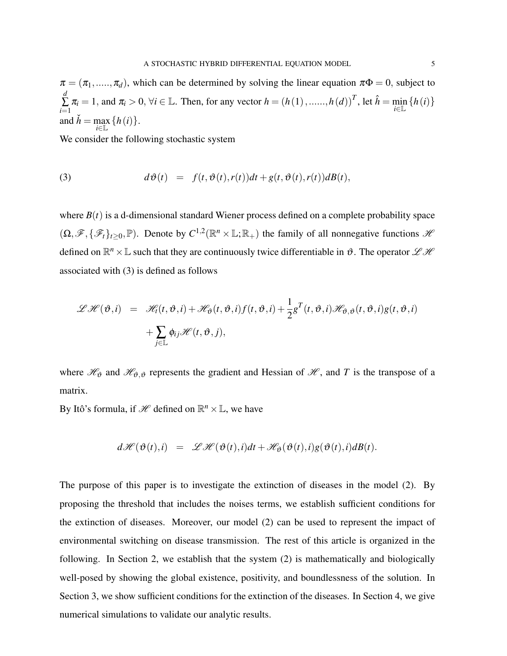$\pi = (\pi_1, \ldots, \pi_d)$ , which can be determined by solving the linear equation  $\pi \Phi = 0$ , subject to *d* ∑ *i*=1  $\pi_i = 1$ , and  $\pi_i > 0$ ,  $\forall i \in \mathbb{L}$ . Then, for any vector  $h = (h(1), \dots, h(d))^T$ , let  $\hat{h} = \min_{i \in \mathbb{L}} \{h(i)\}$ and  $\check{h} = \max_{i \in \mathbb{L}} \{h(i)\}.$ 

We consider the following stochastic system

<span id="page-4-0"></span>(3) 
$$
d\vartheta(t) = f(t, \vartheta(t), r(t))dt + g(t, \vartheta(t), r(t))dB(t),
$$

where  $B(t)$  is a d-dimensional standard Wiener process defined on a complete probability space  $(\Omega, \mathscr{F}, \{\mathscr{F}_t\}_{t\geq 0}, \mathbb{P})$ . Denote by  $C^{1,2}(\mathbb{R}^n \times \mathbb{L}; \mathbb{R}_+)$  the family of all nonnegative functions  $\mathscr{H}$ defined on  $\mathbb{R}^n \times \mathbb{L}$  such that they are continuously twice differentiable in  $\vartheta$ . The operator  $\mathscr{L} \mathscr{H}$ associated with [\(3\)](#page-4-0) is defined as follows

$$
\mathscr{L}\mathscr{H}(\vartheta,i) = \mathscr{H}_t(t,\vartheta,i) + \mathscr{H}_{\vartheta}(t,\vartheta,i)f(t,\vartheta,i) + \frac{1}{2}g^T(t,\vartheta,i)\mathscr{H}_{\vartheta,\vartheta}(t,\vartheta,i)g(t,\vartheta,i) + \sum_{j\in\mathbb{L}}\phi_{ij}\mathscr{H}(t,\vartheta,j),
$$

where  $\mathcal{H}_{\theta}$  and  $\mathcal{H}_{\theta,\theta}$  represents the gradient and Hessian of  $\mathcal{H}$ , and *T* is the transpose of a matrix.

By Itô's formula, if  $\mathcal{H}$  defined on  $\mathbb{R}^n \times \mathbb{L}$ , we have

$$
d\mathscr{H}(\vartheta(t),i) = \mathscr{L}\mathscr{H}(\vartheta(t),i)dt + \mathscr{H}_{\vartheta}(\vartheta(t),i)g(\vartheta(t),i)dB(t).
$$

The purpose of this paper is to investigate the extinction of diseases in the model [\(2\)](#page-3-0). By proposing the threshold that includes the noises terms, we establish sufficient conditions for the extinction of diseases. Moreover, our model [\(2\)](#page-3-0) can be used to represent the impact of environmental switching on disease transmission. The rest of this article is organized in the following. In Section 2, we establish that the system [\(2\)](#page-3-0) is mathematically and biologically well-posed by showing the global existence, positivity, and boundlessness of the solution. In Section 3, we show sufficient conditions for the extinction of the diseases. In Section 4, we give numerical simulations to validate our analytic results.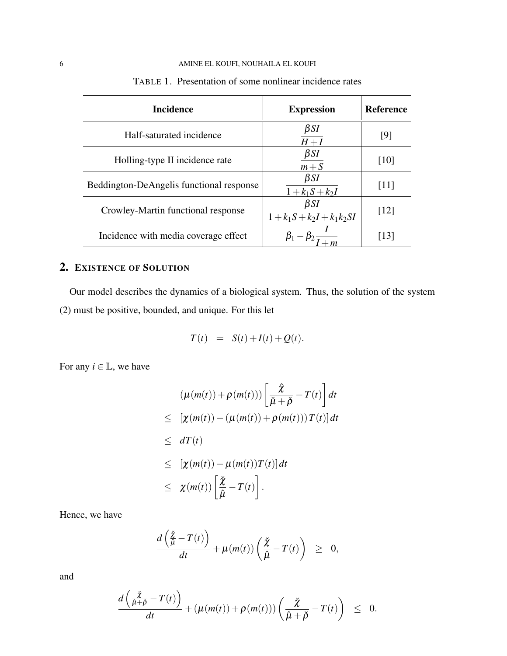### 6 AMINE EL KOUFI, NOUHAILA EL KOUFI

| <b>Incidence</b>                         | <b>Expression</b>                          | <b>Reference</b> |
|------------------------------------------|--------------------------------------------|------------------|
| Half-saturated incidence                 | $\beta SI$<br>$H+I$                        | [9]              |
| Holling-type II incidence rate           | $\beta$ SI<br>$m + S$                      | [10]             |
| Beddington-DeAngelis functional response | $\beta SI$<br>$1 + k_1 S + k_2 I$          | [11]             |
| Crowley-Martin functional response       | $\beta SI$<br>$1 + k_1S + k_2I + k_1k_2SI$ | [12]             |
| Incidence with media coverage effect     | $\beta_1 - \beta_2$ .                      | [13]             |

TABLE 1. Presentation of some nonlinear incidence rates

# 2. EXISTENCE OF SOLUTION

Our model describes the dynamics of a biological system. Thus, the solution of the system [\(2\)](#page-3-0) must be positive, bounded, and unique. For this let

$$
T(t) = S(t) + I(t) + Q(t).
$$

For any  $i \in \mathbb{L}$ , we have

$$
(\mu(m(t)) + \rho(m(t))) \left[ \frac{\hat{\chi}}{\check{\mu} + \check{\rho}} - T(t) \right] dt
$$
  
\n
$$
\leq [\chi(m(t)) - (\mu(m(t)) + \rho(m(t))) T(t)] dt
$$
  
\n
$$
\leq dT(t)
$$
  
\n
$$
\leq [\chi(m(t)) - \mu(m(t)) T(t)] dt
$$
  
\n
$$
\leq \chi(m(t)) \left[ \frac{\check{\chi}}{\hat{\mu}} - T(t) \right].
$$

Hence, we have

$$
\frac{d\left(\frac{\check{\chi}}{\hat{\mu}}-T(t)\right)}{dt}+\mu(m(t))\left(\frac{\check{\chi}}{\hat{\mu}}-T(t)\right) \geq 0,
$$

and

$$
\frac{d\left(\frac{\check\chi}{\hat\mu+\hat\rho}-T(t)\right)}{dt}+(\mu(m(t))+\rho(m(t)))\left(\frac{\check\chi}{\hat\mu+\check\rho}-T(t)\right) \;\leq\;\; 0.
$$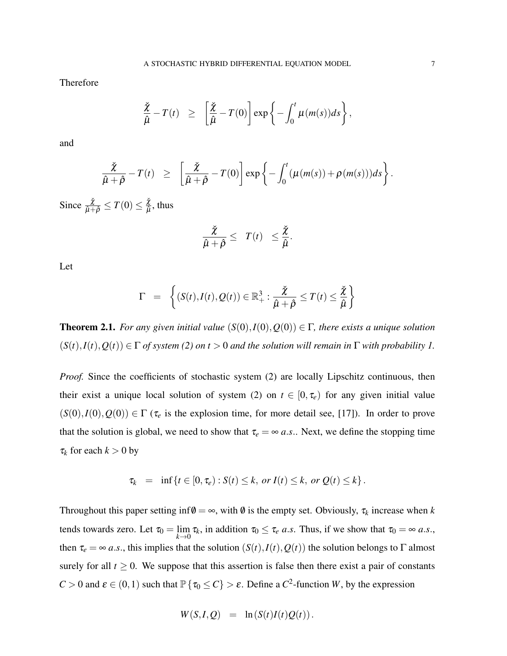Therefore

$$
\frac{\check{\chi}}{\hat{\mu}} - T(t) \geq \left[ \frac{\check{\chi}}{\hat{\mu}} - T(0) \right] \exp \left\{ - \int_0^t \mu(m(s)) ds \right\},\,
$$

and

$$
\frac{\check{\chi}}{\hat{\mu}+\hat{\rho}}-T(t) \geq \left[\frac{\check{\chi}}{\hat{\mu}+\hat{\rho}}-T(0)\right]\exp\left\{-\int_0^t (\mu(m(s))+\rho(m(s)))ds\right\}.
$$

Since  $\frac{\check{\chi}}{\hat{\mu}+\hat{\rho}} \leq T(0) \leq \frac{\check{\chi}}{\hat{\mu}}$  $\frac{\chi}{\hat{\mu}}$ , thus

$$
\frac{\check{\chi}}{\hat{\mu}+\hat{\rho}} \leq T(t) \leq \frac{\check{\chi}}{\hat{\mu}}.
$$

Let

$$
\Gamma = \left\{ (S(t), I(t), Q(t)) \in \mathbb{R}^3_+ : \frac{\check{\chi}}{\hat{\mu} + \hat{\rho}} \leq T(t) \leq \frac{\check{\chi}}{\hat{\mu}} \right\}
$$

**Theorem 2.1.** *For any given initial value*  $(S(0), I(0), Q(0)) \in \Gamma$ *, there exists a unique solution*  $(S(t), I(t), Q(t)) \in \Gamma$  *of system* [\(2\)](#page-3-0) *on t* > 0 *and the solution will remain in*  $\Gamma$  *with probability 1.* 

*Proof.* Since the coefficients of stochastic system [\(2\)](#page-3-0) are locally Lipschitz continuous, then their exist a unique local solution of system [\(2\)](#page-3-0) on  $t \in [0, \tau_e)$  for any given initial value  $(S(0), I(0), Q(0)) \in \Gamma$  ( $\tau_e$  is the explosion time, for more detail see, [\[17\]](#page-14-12)). In order to prove that the solution is global, we need to show that  $\tau_e = \infty a.s.$ . Next, we define the stopping time  $\tau_k$  for each  $k > 0$  by

$$
\tau_k = \inf \{ t \in [0, \tau_e) : S(t) \leq k, \text{ or } I(t) \leq k, \text{ or } Q(t) \leq k \}.
$$

Throughout this paper setting  $inf \emptyset = \infty$ , with  $\emptyset$  is the empty set. Obviously,  $\tau_k$  increase when *k* tends towards zero. Let  $\tau_0 = \lim_{k \to 0} \tau_k$ , in addition  $\tau_0 \le \tau_e$  *a.s.* Thus, if we show that  $\tau_0 = \infty$  *a.s.*, then  $\tau_e = \infty a.s.$ , this implies that the solution  $(S(t), I(t), Q(t))$  the solution belongs to Γ almost surely for all  $t \geq 0$ . We suppose that this assertion is false then there exist a pair of constants *C* > 0 and  $\varepsilon \in (0,1)$  such that  $\mathbb{P}\{\tau_0 \le C\} > \varepsilon$ . Define a *C*<sup>2</sup>-function *W*, by the expression

$$
W(S,I,Q) = \ln(S(t)I(t)Q(t)).
$$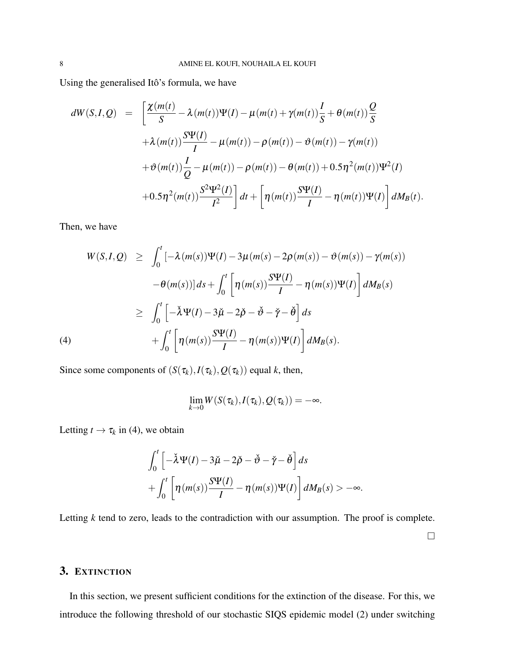Using the generalised Itô's formula, we have

$$
dW(S,I,Q) = \left[\frac{\chi(m(t))}{S} - \lambda(m(t))\Psi(I) - \mu(m(t) + \gamma(m(t))\frac{I}{S} + \theta(m(t))\frac{Q}{S} + \lambda(m(t))\frac{S\Psi(I)}{I} - \mu(m(t)) - \rho(m(t)) - \vartheta(m(t)) - \gamma(m(t))\right] + \vartheta(m(t))\frac{I}{Q} - \mu(m(t)) - \rho(m(t)) - \theta(m(t)) + 0.5\eta^2(m(t))\Psi^2(I) + 0.5\eta^2(m(t))\frac{S^2\Psi^2(I)}{I^2}\right]dt + \left[\eta(m(t))\frac{S\Psi(I)}{I} - \eta(m(t))\Psi(I)\right]dM_B(t).
$$

Then, we have

<span id="page-7-0"></span>
$$
W(S, I, Q) \geq \int_0^t \left[ -\lambda (m(s)) \Psi(I) - 3\mu (m(s) - 2\rho(m(s)) - \vartheta(m(s)) - \gamma(m(s)) \right. \\ \left. -\theta(m(s)) \right] ds + \int_0^t \left[ \eta (m(s)) \frac{S \Psi(I)}{I} - \eta (m(s)) \Psi(I) \right] dM_B(s) \\ \geq \int_0^t \left[ -\lambda \Psi(I) - 3\mu - 2\beta - \vartheta - \vartheta \right] ds \\ + \int_0^t \left[ \eta (m(s)) \frac{S \Psi(I)}{I} - \eta (m(s)) \Psi(I) \right] dM_B(s).
$$

Since some components of  $(S(\tau_k), I(\tau_k), Q(\tau_k))$  equal *k*, then,

$$
\lim_{k\to 0}W(S(\tau_k),I(\tau_k),Q(\tau_k))=-\infty.
$$

Letting  $t \to \tau_k$  in [\(4\)](#page-7-0), we obtain

$$
\int_0^t \left[ -\check{\lambda} \Psi(I) - 3\check{\mu} - 2\check{\rho} - \check{\vartheta} - \check{\vartheta} \right] ds
$$
  
+ 
$$
\int_0^t \left[ \eta(m(s)) \frac{S \Psi(I)}{I} - \eta(m(s)) \Psi(I) \right] dM_B(s) > -\infty.
$$

Letting *k* tend to zero, leads to the contradiction with our assumption. The proof is complete.

 $\Box$ 

# 3. EXTINCTION

In this section, we present sufficient conditions for the extinction of the disease. For this, we introduce the following threshold of our stochastic SIQS epidemic model [\(2\)](#page-3-0) under switching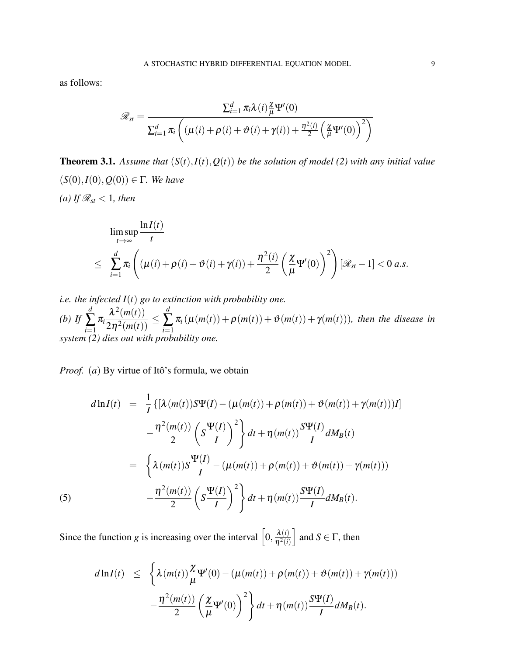as follows:

$$
\mathscr{R}_{st} = \frac{\sum_{i=1}^d \pi_i \lambda(i) \frac{\chi}{\mu} \Psi'(0)}{\sum_{i=1}^d \pi_i \left( (\mu(i) + \rho(i) + \vartheta(i) + \gamma(i)) + \frac{\eta^2(i)}{2} \left( \frac{\chi}{\mu} \Psi'(0) \right)^2 \right)}
$$

**Theorem 3.1.** Assume that  $(S(t), I(t), Q(t))$  be the solution of model [\(2\)](#page-3-0) with any initial value (*S*(0),*I*(0),*Q*(0)) ∈ Γ*. We have (a)* If  $\mathcal{R}_{st}$  < 1*, then* 

$$
\limsup_{t \to \infty} \frac{\ln I(t)}{t}
$$
\n
$$
\leq \sum_{i=1}^d \pi_i \left( (\mu(i) + \rho(i) + \vartheta(i) + \gamma(i)) + \frac{\eta^2(i)}{2} \left( \frac{\chi}{\mu} \Psi'(0) \right)^2 \right) [\mathscr{R}_{st} - 1] < 0 \ a.s.
$$

*i.e. the infected I*(*t*) *go to extinction with probability one.*

*(b) If d* ∑ *i*=1 π*i*  $\frac{\lambda^2(m(t))}{2\eta^2(m(t))} \le$ *d*  $\sum_{i=1}$  $\pi_i(\mu(m(t)) + \rho(m(t)) + \vartheta(m(t)) + \gamma(m(t)))$ , then the disease in *system [\(2\)](#page-3-0) dies out with probability one.*

*Proof.* (*a*) By virtue of Itô's formula, we obtain

<span id="page-8-0"></span>
$$
d\ln I(t) = \frac{1}{I} \{ [\lambda(m(t))S\Psi(I) - (\mu(m(t)) + \rho(m(t)) + \vartheta(m(t)) + \gamma(m(t)))] \} - \frac{\eta^2(m(t))}{2} \left( S \frac{\Psi(I)}{I} \right)^2 \} dt + \eta(m(t)) \frac{S\Psi(I)}{I} dM_B(t)
$$
  

$$
= \left\{ \lambda(m(t))S \frac{\Psi(I)}{I} - (\mu(m(t)) + \rho(m(t)) + \vartheta(m(t)) + \gamma(m(t))) \right\}
$$
  

$$
- \frac{\eta^2(m(t))}{2} \left( S \frac{\Psi(I)}{I} \right)^2 \} dt + \eta(m(t)) \frac{S\Psi(I)}{I} dM_B(t).
$$

Since the function *g* is increasing over the interval  $\left[0, \frac{\lambda(i)}{n^2(i)}\right]$  $\overline{\eta^2(i)}$ and  $S \in \Gamma$ , then

$$
d\ln I(t) \leq \left\{ \lambda(m(t)) \frac{\chi}{\mu} \Psi'(0) - (\mu(m(t)) + \rho(m(t)) + \vartheta(m(t)) + \gamma(m(t))) - \frac{\eta^2(m(t))}{2} \left( \frac{\chi}{\mu} \Psi'(0) \right)^2 \right\} dt + \eta(m(t)) \frac{S\Psi(I)}{I} dM_B(t).
$$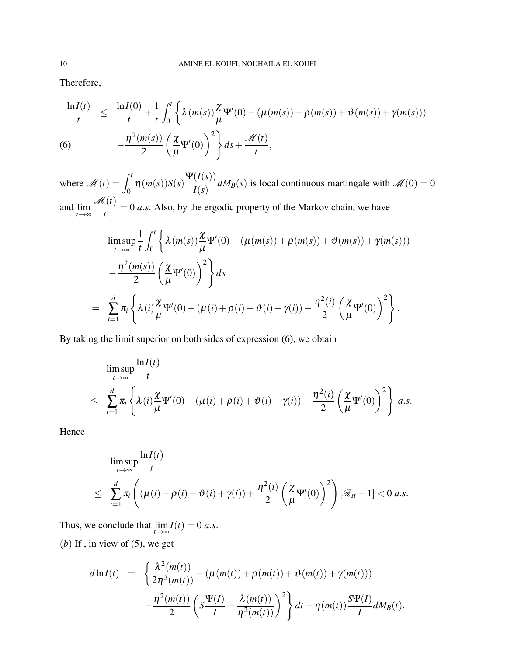Therefore,

<span id="page-9-0"></span>
$$
\frac{\ln I(t)}{t} \leq \frac{\ln I(0)}{t} + \frac{1}{t} \int_0^t \left\{ \lambda(m(s)) \frac{\chi}{\mu} \Psi'(0) - (\mu(m(s)) + \rho(m(s)) + \vartheta(m(s)) + \gamma(m(s))) - \frac{\eta^2(m(s))}{2} \left( \frac{\chi}{\mu} \Psi'(0) \right)^2 \right\} ds + \frac{\mathcal{M}(t)}{t},
$$
\n(6)

where  $\mathcal{M}(t) = \int_0^t$  $\int_0^{\pi} \eta(m(s))S(s)$ Ψ(*I*(*s*))  $\frac{d^2(s)}{I(s)} dM_B(s)$  is local continuous martingale with  $\mathcal{M}(0) = 0$ and lim *t*→∞ M(*t*)  $\frac{\partial u}{\partial t}$  = 0 *a.s.* Also, by the ergodic property of the Markov chain, we have

$$
\limsup_{t \to \infty} \frac{1}{t} \int_0^t \left\{ \lambda(m(s)) \frac{\chi}{\mu} \Psi'(0) - (\mu(m(s)) + \rho(m(s)) + \vartheta(m(s)) + \gamma(m(s))) - \frac{\eta^2(m(s))}{2} \left( \frac{\chi}{\mu} \Psi'(0) \right)^2 \right\} ds
$$
  
= 
$$
\sum_{i=1}^d \pi_i \left\{ \lambda(i) \frac{\chi}{\mu} \Psi'(0) - (\mu(i) + \rho(i) + \vartheta(i) + \gamma(i)) - \frac{\eta^2(i)}{2} \left( \frac{\chi}{\mu} \Psi'(0) \right)^2 \right\}.
$$

By taking the limit superior on both sides of expression [\(6\)](#page-9-0), we obtain

$$
\limsup_{t \to \infty} \frac{\ln I(t)}{t}
$$
\n
$$
\leq \sum_{i=1}^d \pi_i \left\{ \lambda(i) \frac{\chi}{\mu} \Psi'(0) - (\mu(i) + \rho(i) + \vartheta(i) + \gamma(i)) - \frac{\eta^2(i)}{2} \left( \frac{\chi}{\mu} \Psi'(0) \right)^2 \right\} a.s.
$$

Hence

$$
\limsup_{t \to \infty} \frac{\ln I(t)}{t}
$$
\n
$$
\leq \sum_{i=1}^d \pi_i \left( (\mu(i) + \rho(i) + \vartheta(i) + \gamma(i)) + \frac{\eta^2(i)}{2} \left( \frac{\chi}{\mu} \Psi'(0) \right)^2 \right) [\mathscr{R}_{st} - 1] < 0 \ a.s.
$$

Thus, we conclude that  $\lim_{t \to \infty} I(t) = 0$  *a.s.* 

 $(b)$  If, in view of  $(5)$ , we get

$$
d\ln I(t) = \left\{ \frac{\lambda^2(m(t))}{2\eta^2(m(t))} - (\mu(m(t)) + \rho(m(t)) + \vartheta(m(t)) + \gamma(m(t))) - \frac{\eta^2(m(t))}{2} \left( S \frac{\Psi(I)}{I} - \frac{\lambda(m(t))}{\eta^2(m(t))} \right)^2 \right\} dt + \eta(m(t)) \frac{S\Psi(I)}{I} dM_B(t).
$$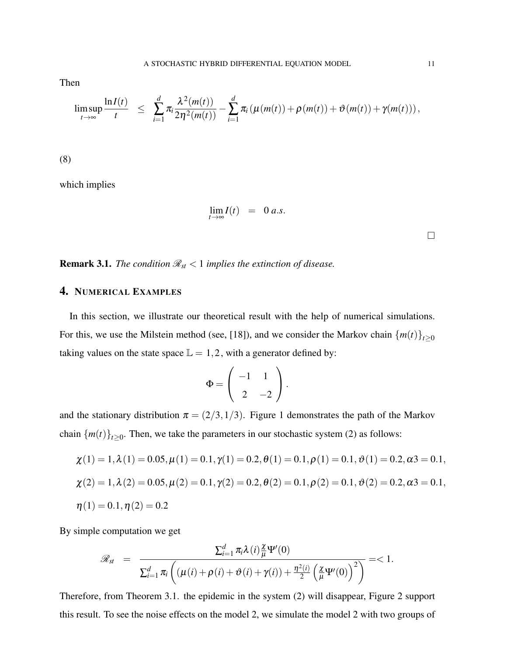Then

$$
\limsup_{t\to\infty}\frac{\ln I(t)}{t} \leq \sum_{i=1}^d \pi_i \frac{\lambda^2(m(t))}{2\eta^2(m(t))} - \sum_{i=1}^d \pi_i \left(\mu(m(t)) + \rho(m(t)) + \vartheta(m(t)) + \gamma(m(t))\right),
$$

(8)

which implies

$$
\lim_{t\to\infty} I(t) = 0 a.s.
$$

 $\Box$ 

**Remark 3.1.** *The condition*  $\mathcal{R}_{st} < 1$  *implies the extinction of disease.* 

# 4. NUMERICAL EXAMPLES

In this section, we illustrate our theoretical result with the help of numerical simulations. For this, we use the Milstein method (see, [\[18\]](#page-14-13)), and we consider the Markov chain  ${m(t)}_{t\geq0}$ taking values on the state space  $\mathbb{L} = 1, 2$ , with a generator defined by:

$$
\Phi = \left( \begin{array}{cc} -1 & 1 \\ 2 & -2 \end{array} \right).
$$

and the stationary distribution  $\pi = (2/3, 1/3)$ . Figure 1 demonstrates the path of the Markov chain  ${m(t)}_{t\geq0}$ . Then, we take the parameters in our stochastic system [\(2\)](#page-3-0) as follows:

$$
\chi(1) = 1, \lambda(1) = 0.05, \mu(1) = 0.1, \gamma(1) = 0.2, \theta(1) = 0.1, \rho(1) = 0.1, \vartheta(1) = 0.2, \alpha_3 = 0.1, \chi(2) = 1, \lambda(2) = 0.05, \mu(2) = 0.1, \gamma(2) = 0.2, \theta(2) = 0.1, \rho(2) = 0.1, \vartheta(2) = 0.2, \alpha_3 = 0.1, \eta(1) = 0.1, \eta(2) = 0.2
$$

By simple computation we get

$$
\mathscr{R}_{st} = \frac{\sum_{i=1}^d \pi_i \lambda(i) \frac{\chi}{\mu} \Psi'(0)}{\sum_{i=1}^d \pi_i \left( (\mu(i) + \rho(i) + \vartheta(i) + \gamma(i)) + \frac{\eta^2(i)}{2} \left( \frac{\chi}{\mu} \Psi'(0) \right)^2 \right)} = 1.
$$

Therefore, from Theorem 3.1. the epidemic in the system [\(2\)](#page-3-0) will disappear, Figure 2 support this result. To see the noise effects on the model [2,](#page-3-0) we simulate the model [2](#page-3-0) with two groups of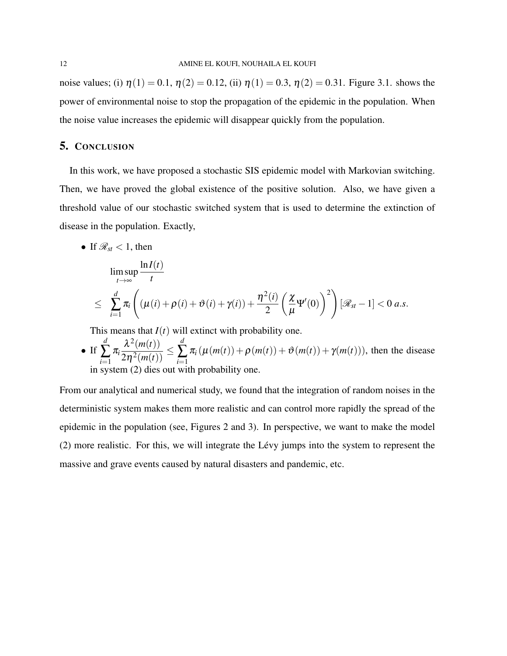noise values; (i)  $\eta(1) = 0.1$ ,  $\eta(2) = 0.12$ , (ii)  $\eta(1) = 0.3$ ,  $\eta(2) = 0.31$ . Figure 3.1. shows the power of environmental noise to stop the propagation of the epidemic in the population. When the noise value increases the epidemic will disappear quickly from the population.

## 5. CONCLUSION

In this work, we have proposed a stochastic SIS epidemic model with Markovian switching. Then, we have proved the global existence of the positive solution. Also, we have given a threshold value of our stochastic switched system that is used to determine the extinction of disease in the population. Exactly,

• If  $\mathcal{R}_{st}$  < 1, then

$$
\limsup_{t \to \infty} \frac{\ln I(t)}{t}
$$
\n
$$
\leq \sum_{i=1}^d \pi_i \left( (\mu(i) + \rho(i) + \vartheta(i) + \gamma(i)) + \frac{\eta^2(i)}{2} \left( \frac{\chi}{\mu} \Psi'(0) \right)^2 \right) [\mathscr{R}_{st} - 1] < 0 \ a.s.
$$

This means that  $I(t)$  will extinct with probability one.

• If 
$$
\sum_{i=1}^{d} \pi_i \frac{\lambda^2(m(t))}{2\eta^2(m(t))} \leq \sum_{i=1}^{d} \pi_i (\mu(m(t)) + \rho(m(t)) + \vartheta(m(t)) + \gamma(m(t))),
$$
 then the disease in system (2) dies out with probability one.

From our analytical and numerical study, we found that the integration of random noises in the deterministic system makes them more realistic and can control more rapidly the spread of the epidemic in the population (see, Figures 2 and 3). In perspective, we want to make the model  $(2)$  more realistic. For this, we will integrate the Lévy jumps into the system to represent the massive and grave events caused by natural disasters and pandemic, etc.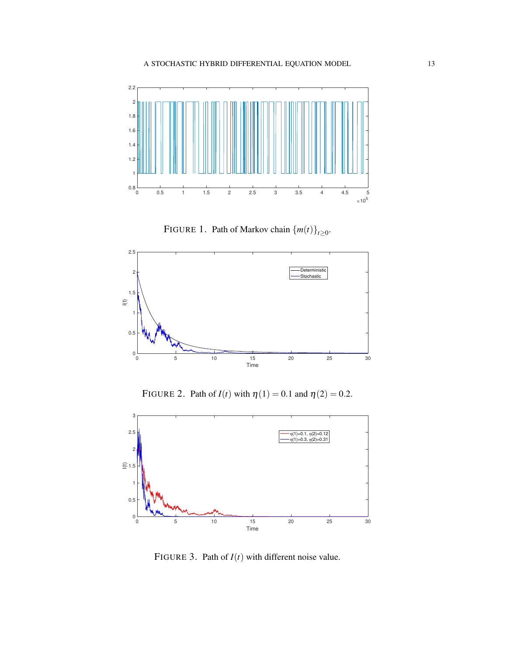

FIGURE 1. Path of Markov chain  $\{m(t)\}_{t\geq 0}$ .



FIGURE 2. Path of  $I(t)$  with  $\eta(1) = 0.1$  and  $\eta(2) = 0.2$ .



FIGURE 3. Path of  $I(t)$  with different noise value.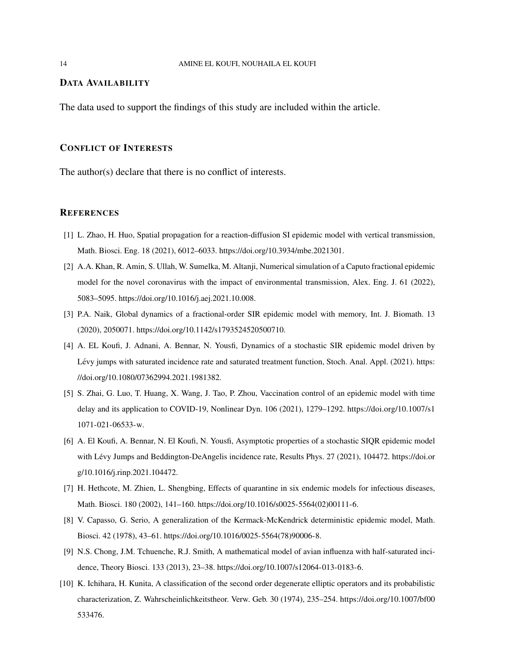#### DATA AVAILABILITY

The data used to support the findings of this study are included within the article.

### CONFLICT OF INTERESTS

The author(s) declare that there is no conflict of interests.

#### **REFERENCES**

- <span id="page-13-0"></span>[1] L. Zhao, H. Huo, Spatial propagation for a reaction-diffusion SI epidemic model with vertical transmission, Math. Biosci. Eng. 18 (2021), 6012–6033. [https://doi.org/10.3934/mbe.2021301.](https://doi.org/10.3934/mbe.2021301)
- <span id="page-13-1"></span>[2] A.A. Khan, R. Amin, S. Ullah, W. Sumelka, M. Altanji, Numerical simulation of a Caputo fractional epidemic model for the novel coronavirus with the impact of environmental transmission, Alex. Eng. J. 61 (2022), 5083–5095. [https://doi.org/10.1016/j.aej.2021.10.008.](https://doi.org/10.1016/j.aej.2021.10.008)
- <span id="page-13-2"></span>[3] P.A. Naik, Global dynamics of a fractional-order SIR epidemic model with memory, Int. J. Biomath. 13 (2020), 2050071. [https://doi.org/10.1142/s1793524520500710.](https://doi.org/10.1142/s1793524520500710)
- <span id="page-13-3"></span>[4] A. EL Koufi, J. Adnani, A. Bennar, N. Yousfi, Dynamics of a stochastic SIR epidemic model driven by Lévy jumps with saturated incidence rate and saturated treatment function, Stoch. Anal. Appl. (2021). [https:](https://doi.org/10.1080/07362994.2021.1981382) [//doi.org/10.1080/07362994.2021.1981382.](https://doi.org/10.1080/07362994.2021.1981382)
- <span id="page-13-4"></span>[5] S. Zhai, G. Luo, T. Huang, X. Wang, J. Tao, P. Zhou, Vaccination control of an epidemic model with time delay and its application to COVID-19, Nonlinear Dyn. 106 (2021), 1279–1292. [https://doi.org/10.1007/s1](https://doi.org/10.1007/s11071-021-06533-w) [1071-021-06533-w.](https://doi.org/10.1007/s11071-021-06533-w)
- <span id="page-13-5"></span>[6] A. El Koufi, A. Bennar, N. El Koufi, N. Yousfi, Asymptotic properties of a stochastic SIQR epidemic model with Lévy Jumps and Beddington-DeAngelis incidence rate, Results Phys. 27 (2021), 104472. [https://doi.or](https://doi.org/10.1016/j.rinp.2021.104472) [g/10.1016/j.rinp.2021.104472.](https://doi.org/10.1016/j.rinp.2021.104472)
- <span id="page-13-6"></span>[7] H. Hethcote, M. Zhien, L. Shengbing, Effects of quarantine in six endemic models for infectious diseases, Math. Biosci. 180 (2002), 141–160. [https://doi.org/10.1016/s0025-5564\(02\)00111-6.](https://doi.org/10.1016/s0025-5564(02)00111-6)
- <span id="page-13-7"></span>[8] V. Capasso, G. Serio, A generalization of the Kermack-McKendrick deterministic epidemic model, Math. Biosci. 42 (1978), 43–61. [https://doi.org/10.1016/0025-5564\(78\)90006-8.](https://doi.org/10.1016/0025-5564(78)90006-8)
- <span id="page-13-8"></span>[9] N.S. Chong, J.M. Tchuenche, R.J. Smith, A mathematical model of avian influenza with half-saturated incidence, Theory Biosci. 133 (2013), 23–38. [https://doi.org/10.1007/s12064-013-0183-6.](https://doi.org/10.1007/s12064-013-0183-6)
- <span id="page-13-9"></span>[10] K. Ichihara, H. Kunita, A classification of the second order degenerate elliptic operators and its probabilistic characterization, Z. Wahrscheinlichkeitstheor. Verw. Geb. 30 (1974), 235–254. [https://doi.org/10.1007/bf00](https://doi.org/10.1007/bf00533476) [533476.](https://doi.org/10.1007/bf00533476)